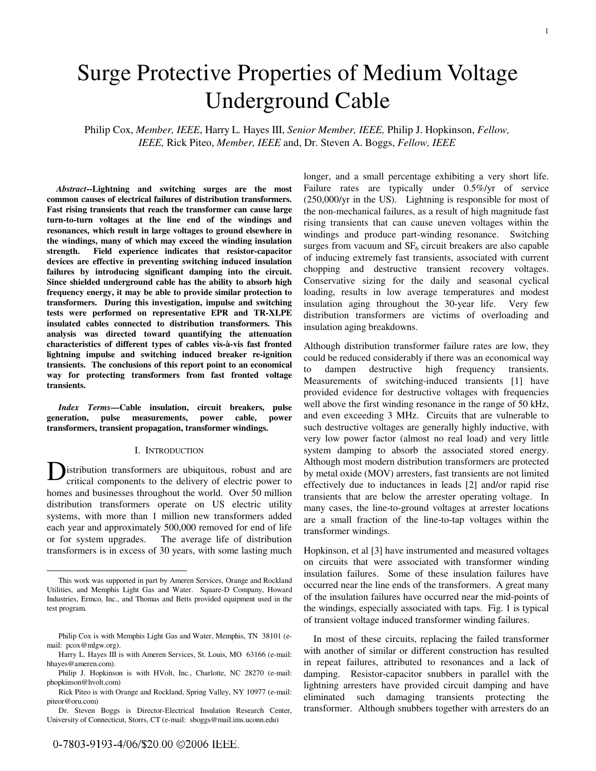# Surge Protective Properties of Medium Voltage Underground Cable

Philip Cox, *Member, IEEE*, Harry L. Hayes III, *Senior Member, IEEE,* Philip J. Hopkinson, *Fellow, IEEE,* Rick Piteo, *Member, IEEE* and, Dr. Steven A. Boggs, *Fellow, IEEE*

*Abstract***--Lightning and switching surges are the most common causes of electrical failures of distribution transformers. Fast rising transients that reach the transformer can cause large turn-to-turn voltages at the line end of the windings and resonances, which result in large voltages to ground elsewhere in the windings, many of which may exceed the winding insulation strength. Field experience indicates that resistor-capacitor devices are effective in preventing switching induced insulation failures by introducing significant damping into the circuit. Since shielded underground cable has the ability to absorb high frequency energy, it may be able to provide similar protection to transformers. During this investigation, impulse and switching tests were performed on representative EPR and TR-XLPE insulated cables connected to distribution transformers. This analysis was directed toward quantifying the attenuation characteristics of different types of cables vis-à-vis fast fronted lightning impulse and switching induced breaker re-ignition transients. The conclusions of this report point to an economical way for protecting transformers from fast fronted voltage transients.** 

*Index Terms***—Cable insulation, circuit breakers, pulse generation, pulse measurements, power cable, power transformers, transient propagation, transformer windings.** 

### I. INTRODUCTION

istribution transformers are ubiquitous, robust and are critical components to the delivery of electric power to homes and businesses throughout the world. Over 50 million distribution transformers operate on US electric utility systems, with more than 1 million new transformers added each year and approximately 500,000 removed for end of life or for system upgrades. The average life of distribution transformers is in excess of 30 years, with some lasting much D

longer, and a small percentage exhibiting a very short life. Failure rates are typically under 0.5%/yr of service (250,000/yr in the US). Lightning is responsible for most of the non-mechanical failures, as a result of high magnitude fast rising transients that can cause uneven voltages within the windings and produce part-winding resonance. Switching surges from vacuum and  $SF<sub>6</sub>$  circuit breakers are also capable of inducing extremely fast transients, associated with current chopping and destructive transient recovery voltages. Conservative sizing for the daily and seasonal cyclical loading, results in low average temperatures and modest insulation aging throughout the 30-year life. Very few distribution transformers are victims of overloading and insulation aging breakdowns.

Although distribution transformer failure rates are low, they could be reduced considerably if there was an economical way to dampen destructive high frequency transients. Measurements of switching-induced transients [1] have provided evidence for destructive voltages with frequencies well above the first winding resonance in the range of 50 kHz, and even exceeding 3 MHz. Circuits that are vulnerable to such destructive voltages are generally highly inductive, with very low power factor (almost no real load) and very little system damping to absorb the associated stored energy. Although most modern distribution transformers are protected by metal oxide (MOV) arresters, fast transients are not limited effectively due to inductances in leads [2] and/or rapid rise transients that are below the arrester operating voltage. In many cases, the line-to-ground voltages at arrester locations are a small fraction of the line-to-tap voltages within the transformer windings.

Hopkinson, et al [3] have instrumented and measured voltages on circuits that were associated with transformer winding insulation failures. Some of these insulation failures have occurred near the line ends of the transformers. A great many of the insulation failures have occurred near the mid-points of the windings, especially associated with taps. Fig. 1 is typical of transient voltage induced transformer winding failures.

In most of these circuits, replacing the failed transformer with another of similar or different construction has resulted in repeat failures, attributed to resonances and a lack of damping. Resistor-capacitor snubbers in parallel with the lightning arresters have provided circuit damping and have eliminated such damaging transients protecting the transformer. Although snubbers together with arresters do an

This work was supported in part by Ameren Services, Orange and Rockland Utilities, and Memphis Light Gas and Water. Square-D Company, Howard Industries, Ermco, Inc., and Thomas and Betts provided equipment used in the test program.

Philip Cox is with Memphis Light Gas and Water, Memphis, TN 38101 (email: pcox@mlgw.org).

Harry L. Hayes III is with Ameren Services, St. Louis, MO 63166 (e-mail: hhayes@ameren.com).

Philip J. Hopkinson is with HVolt, Inc., Charlotte, NC 28270 (e-mail: phopkinson@hvolt.com)

Rick Piteo is with Orange and Rockland, Spring Valley, NY 10977 (e-mail: piteor@oru.com)

Dr. Steven Boggs is Director-Electrical Insulation Research Center, University of Connecticut, Storrs, CT (e-mail: sboggs@mail.ims.uconn.edu)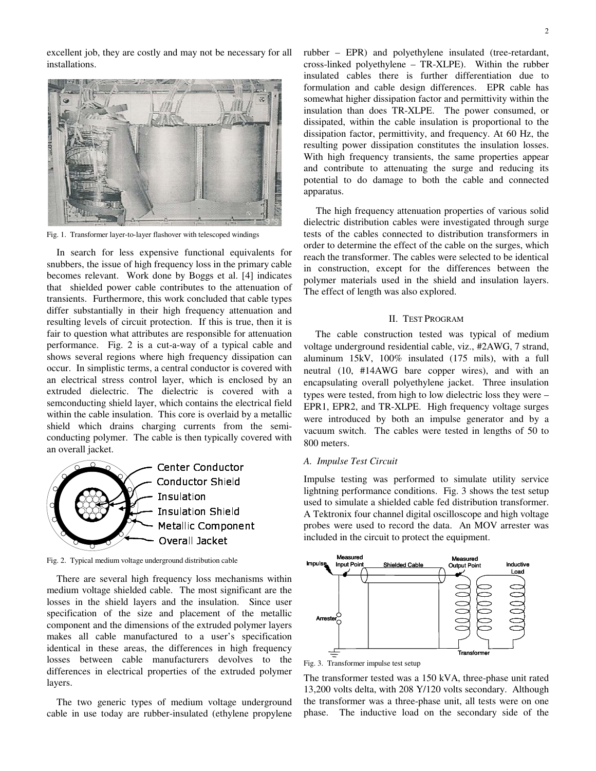excellent job, they are costly and may not be necessary for all installations.



Fig. 1. Transformer layer-to-layer flashover with telescoped windings

In search for less expensive functional equivalents for snubbers, the issue of high frequency loss in the primary cable becomes relevant. Work done by Boggs et al. [4] indicates that shielded power cable contributes to the attenuation of transients. Furthermore, this work concluded that cable types differ substantially in their high frequency attenuation and resulting levels of circuit protection. If this is true, then it is fair to question what attributes are responsible for attenuation performance. Fig. 2 is a cut-a-way of a typical cable and shows several regions where high frequency dissipation can occur. In simplistic terms, a central conductor is covered with an electrical stress control layer, which is enclosed by an extruded dielectric. The dielectric is covered with a semconducting shield layer, which contains the electrical field within the cable insulation. This core is overlaid by a metallic shield which drains charging currents from the semiconducting polymer. The cable is then typically covered with an overall jacket.



Fig. 2. Typical medium voltage underground distribution cable

 There are several high frequency loss mechanisms within medium voltage shielded cable. The most significant are the losses in the shield layers and the insulation. Since user specification of the size and placement of the metallic component and the dimensions of the extruded polymer layers makes all cable manufactured to a user's specification identical in these areas, the differences in high frequency losses between cable manufacturers devolves to the differences in electrical properties of the extruded polymer layers.

The two generic types of medium voltage underground cable in use today are rubber-insulated (ethylene propylene rubber – EPR) and polyethylene insulated (tree-retardant, cross-linked polyethylene – TR-XLPE). Within the rubber insulated cables there is further differentiation due to formulation and cable design differences. EPR cable has somewhat higher dissipation factor and permittivity within the insulation than does TR-XLPE. The power consumed, or dissipated, within the cable insulation is proportional to the dissipation factor, permittivity, and frequency. At 60 Hz, the resulting power dissipation constitutes the insulation losses. With high frequency transients, the same properties appear and contribute to attenuating the surge and reducing its potential to do damage to both the cable and connected apparatus.

 The high frequency attenuation properties of various solid dielectric distribution cables were investigated through surge tests of the cables connected to distribution transformers in order to determine the effect of the cable on the surges, which reach the transformer. The cables were selected to be identical in construction, except for the differences between the polymer materials used in the shield and insulation layers. The effect of length was also explored.

# II. TEST PROGRAM

The cable construction tested was typical of medium voltage underground residential cable, viz., #2AWG, 7 strand, aluminum 15kV, 100% insulated (175 mils), with a full neutral (10, #14AWG bare copper wires), and with an encapsulating overall polyethylene jacket. Three insulation types were tested, from high to low dielectric loss they were – EPR1, EPR2, and TR-XLPE. High frequency voltage surges were introduced by both an impulse generator and by a vacuum switch. The cables were tested in lengths of 50 to 800 meters.

# *A. Impulse Test Circuit*

Impulse testing was performed to simulate utility service lightning performance conditions. Fig. 3 shows the test setup used to simulate a shielded cable fed distribution transformer. A Tektronix four channel digital oscilloscope and high voltage probes were used to record the data. An MOV arrester was included in the circuit to protect the equipment.



Fig. 3. Transformer impulse test setup

The transformer tested was a 150 kVA, three-phase unit rated 13,200 volts delta, with 208 Y/120 volts secondary. Although the transformer was a three-phase unit, all tests were on one phase. The inductive load on the secondary side of the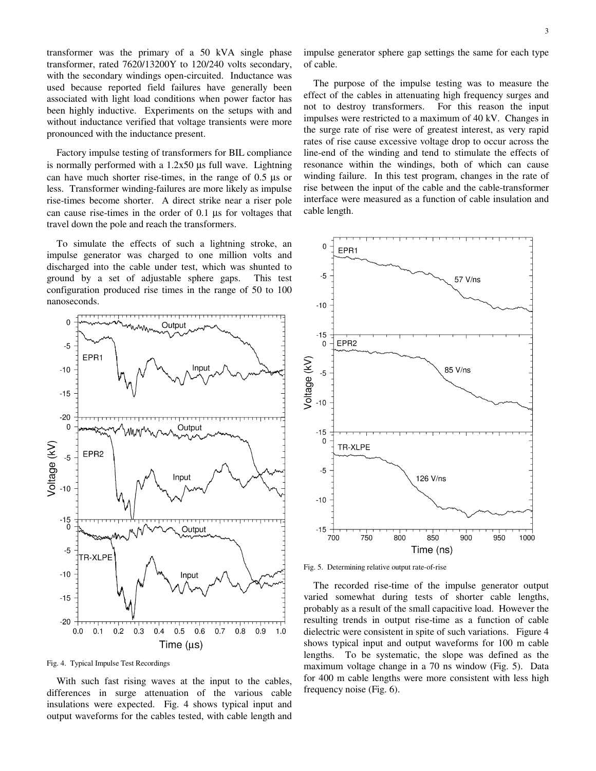transformer was the primary of a 50 kVA single phase transformer, rated 7620/13200Y to 120/240 volts secondary, with the secondary windings open-circuited. Inductance was used because reported field failures have generally been associated with light load conditions when power factor has been highly inductive. Experiments on the setups with and without inductance verified that voltage transients were more pronounced with the inductance present.

 Factory impulse testing of transformers for BIL compliance is normally performed with a 1.2x50 µs full wave. Lightning can have much shorter rise-times, in the range of 0.5 µs or less. Transformer winding-failures are more likely as impulse rise-times become shorter. A direct strike near a riser pole can cause rise-times in the order of 0.1 µs for voltages that travel down the pole and reach the transformers.

To simulate the effects of such a lightning stroke, an impulse generator was charged to one million volts and discharged into the cable under test, which was shunted to ground by a set of adjustable sphere gaps. This test configuration produced rise times in the range of 50 to 100 nanoseconds.



Fig. 4. Typical Impulse Test Recordings

With such fast rising waves at the input to the cables, differences in surge attenuation of the various cable insulations were expected. Fig. 4 shows typical input and output waveforms for the cables tested, with cable length and impulse generator sphere gap settings the same for each type of cable.

The purpose of the impulse testing was to measure the effect of the cables in attenuating high frequency surges and not to destroy transformers. For this reason the input impulses were restricted to a maximum of 40 kV. Changes in the surge rate of rise were of greatest interest, as very rapid rates of rise cause excessive voltage drop to occur across the line-end of the winding and tend to stimulate the effects of resonance within the windings, both of which can cause winding failure. In this test program, changes in the rate of rise between the input of the cable and the cable-transformer interface were measured as a function of cable insulation and cable length.



Fig. 5. Determining relative output rate-of-rise

The recorded rise-time of the impulse generator output varied somewhat during tests of shorter cable lengths, probably as a result of the small capacitive load. However the resulting trends in output rise-time as a function of cable dielectric were consistent in spite of such variations. Figure 4 shows typical input and output waveforms for 100 m cable lengths. To be systematic, the slope was defined as the maximum voltage change in a 70 ns window (Fig. 5). Data for 400 m cable lengths were more consistent with less high frequency noise (Fig. 6).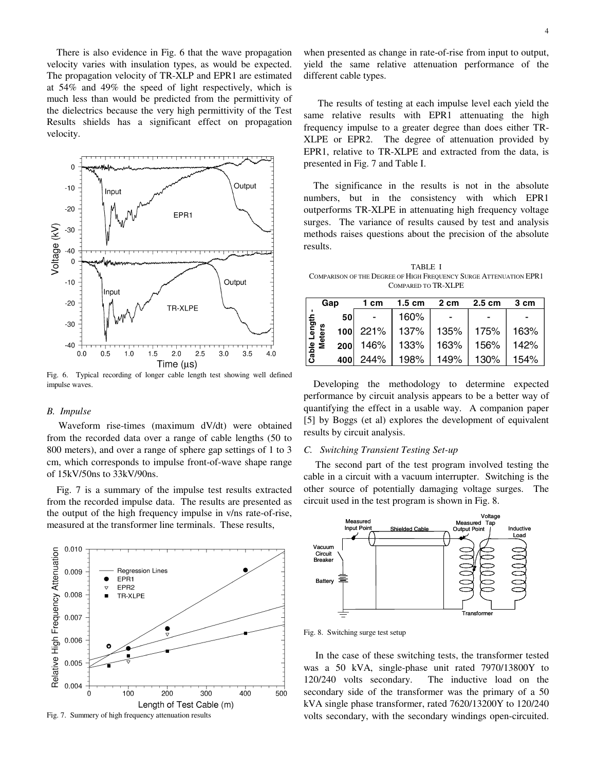There is also evidence in Fig. 6 that the wave propagation velocity varies with insulation types, as would be expected. The propagation velocity of TR-XLP and EPR1 are estimated at 54% and 49% the speed of light respectively, which is much less than would be predicted from the permittivity of the dielectrics because the very high permittivity of the Test Results shields has a significant effect on propagation velocity.



Fig. 6. Typical recording of longer cable length test showing well defined impulse waves.

# *B. Impulse*

Waveform rise-times (maximum dV/dt) were obtained from the recorded data over a range of cable lengths (50 to 800 meters), and over a range of sphere gap settings of 1 to 3 cm, which corresponds to impulse front-of-wave shape range of 15kV/50ns to 33kV/90ns.

Fig. 7 is a summary of the impulse test results extracted from the recorded impulse data. The results are presented as the output of the high frequency impulse in v/ns rate-of-rise, measured at the transformer line terminals. These results,



Fig. 7. Summery of high frequency attenuation results

when presented as change in rate-of-rise from input to output, yield the same relative attenuation performance of the different cable types.

The results of testing at each impulse level each yield the same relative results with EPR1 attenuating the high frequency impulse to a greater degree than does either TR-XLPE or EPR2. The degree of attenuation provided by EPR1, relative to TR-XLPE and extracted from the data, is presented in Fig. 7 and Table I.

The significance in the results is not in the absolute numbers, but in the consistency with which EPR1 outperforms TR-XLPE in attenuating high frequency voltage surges. The variance of results caused by test and analysis methods raises questions about the precision of the absolute results.

TABLE I COMPARISON OF THE DEGREE OF HIGH FREQUENCY SURGE ATTENUATION EPR1 COMPARED TO TR-XLPE

| Gap            |           | 1 cm       | $1.5 \text{ cm}$ | 2 cm | $2.5 \text{ cm}$ | 3 cm |
|----------------|-----------|------------|------------------|------|------------------|------|
| lgth           | <b>50</b> |            | 160%             |      |                  |      |
|                | 'n,       | $100$ 221% | 137% l           | 135% | 175%             | 163% |
| Cable L<br>Met |           |            | $200$ 146% 133%  | 163% | 156%             | 142% |
|                | 400       | 244%       | 198%             | 149% | 130%             | 154% |

Developing the methodology to determine expected performance by circuit analysis appears to be a better way of quantifying the effect in a usable way. A companion paper [5] by Boggs (et al) explores the development of equivalent results by circuit analysis.

# *C. Switching Transient Testing Set-up*

The second part of the test program involved testing the cable in a circuit with a vacuum interrupter. Switching is the other source of potentially damaging voltage surges. The circuit used in the test program is shown in Fig. 8.



Fig. 8. Switching surge test setup

In the case of these switching tests, the transformer tested was a 50 kVA, single-phase unit rated 7970/13800Y to 120/240 volts secondary. The inductive load on the secondary side of the transformer was the primary of a 50 kVA single phase transformer, rated 7620/13200Y to 120/240 volts secondary, with the secondary windings open-circuited.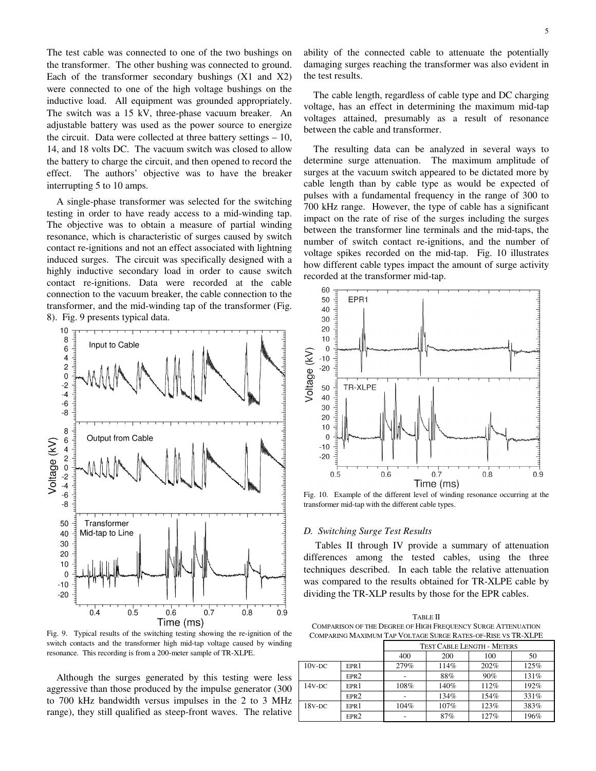The test cable was connected to one of the two bushings on the transformer. The other bushing was connected to ground. Each of the transformer secondary bushings (X1 and X2) were connected to one of the high voltage bushings on the inductive load. All equipment was grounded appropriately. The switch was a 15 kV, three-phase vacuum breaker. An adjustable battery was used as the power source to energize the circuit. Data were collected at three battery settings – 10, 14, and 18 volts DC. The vacuum switch was closed to allow the battery to charge the circuit, and then opened to record the effect. The authors' objective was to have the breaker interrupting 5 to 10 amps.

A single-phase transformer was selected for the switching testing in order to have ready access to a mid-winding tap. The objective was to obtain a measure of partial winding resonance, which is characteristic of surges caused by switch contact re-ignitions and not an effect associated with lightning induced surges. The circuit was specifically designed with a highly inductive secondary load in order to cause switch contact re-ignitions. Data were recorded at the cable connection to the vacuum breaker, the cable connection to the transformer, and the mid-winding tap of the transformer (Fig. 8). Fig. 9 presents typical data.



Fig. 9. Typical results of the switching testing showing the re-ignition of the switch contacts and the transformer high mid-tap voltage caused by winding resonance. This recording is from a 200-meter sample of TR-XLPE.

Although the surges generated by this testing were less aggressive than those produced by the impulse generator (300 to 700 kHz bandwidth versus impulses in the 2 to 3 MHz range), they still qualified as steep-front waves. The relative

ability of the connected cable to attenuate the potentially damaging surges reaching the transformer was also evident in the test results.

The cable length, regardless of cable type and DC charging voltage, has an effect in determining the maximum mid-tap voltages attained, presumably as a result of resonance between the cable and transformer.

The resulting data can be analyzed in several ways to determine surge attenuation. The maximum amplitude of surges at the vacuum switch appeared to be dictated more by cable length than by cable type as would be expected of pulses with a fundamental frequency in the range of 300 to 700 kHz range. However, the type of cable has a significant impact on the rate of rise of the surges including the surges between the transformer line terminals and the mid-taps, the number of switch contact re-ignitions, and the number of voltage spikes recorded on the mid-tap. Fig. 10 illustrates how different cable types impact the amount of surge activity recorded at the transformer mid-tap.



Fig. 10. Example of the different level of winding resonance occurring at the transformer mid-tap with the different cable types.

#### *D. Switching Surge Test Results*

Tables II through IV provide a summary of attenuation differences among the tested cables, using the three techniques described. In each table the relative attenuation was compared to the results obtained for TR-XLPE cable by dividing the TR-XLP results by those for the EPR cables.

TABLE II COMPARISON OF THE DEGREE OF HIGH FREQUENCY SURGE ATTENUATION COMPARING MAXIMUM TAP VOLTAGE SURGE RATES-OF-RISE VS TR-XLPE

|           |                  | <b>TEST CABLE LENGTH - METERS</b> |      |      |      |
|-----------|------------------|-----------------------------------|------|------|------|
|           |                  | 400                               | 200  | 100  | 50   |
| $10v$ -DC | EPR <sub>1</sub> | 279%                              | 114% | 202% | 125% |
|           | EPR <sub>2</sub> |                                   | 88%  | 90%  | 131% |
| $14V-DC$  | EPR <sub>1</sub> | 108%                              | 140% | 112% | 192% |
|           | EPR <sub>2</sub> |                                   | 134% | 154% | 331% |
| $18V-DC$  | EPR <sub>1</sub> | 104%                              | 107% | 123% | 383% |
|           | EPR <sub>2</sub> |                                   | 87%  | 127% | 196% |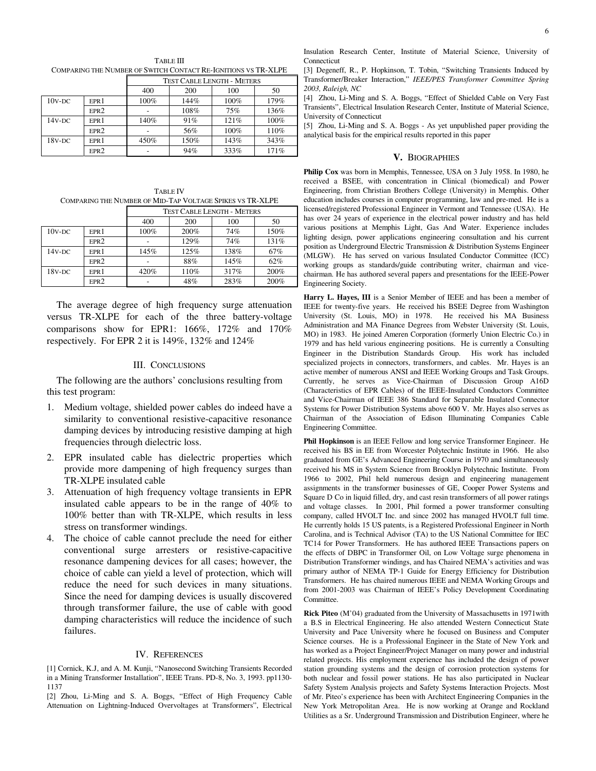TABLE III COMPARING THE NUMBER OF SWITCH CONTACT RE-IGNITIONS VS TR-XLPE

|           |                  | <b>TEST CABLE LENGTH - METERS</b> |      |      |      |  |
|-----------|------------------|-----------------------------------|------|------|------|--|
|           |                  | 400                               | 200  | 100  | 50   |  |
| $10v$ -DC | EPR <sub>1</sub> | 100%                              | 144% | 100% | 179% |  |
|           | EPR <sub>2</sub> |                                   | 108% | 75%  | 136% |  |
| $14V-DC$  | EPR <sub>1</sub> | 140%                              | 91%  | 121% | 100% |  |
|           | EPR2             |                                   | 56%  | 100% | 110% |  |
| $18V-DC$  | EPR <sub>1</sub> | 450%                              | 150% | 143% | 343% |  |
|           | EPR <sub>2</sub> |                                   | 94%  | 333% | 171% |  |

TABLE IV COMPARING THE NUMBER OF MID-TAP VOLTAGE SPIKES VS TR-XLPE

|           |                  | <b>TEST CABLE LENGTH - METERS</b> |      |      |      |  |
|-----------|------------------|-----------------------------------|------|------|------|--|
|           |                  | 400                               | 200  | 100  | 50   |  |
| $10v$ -DC | EPR <sub>1</sub> | 100%                              | 200% | 74%  | 150% |  |
|           | EPR <sub>2</sub> |                                   | 129% | 74%  | 131% |  |
| $14V-DC$  | EPR <sub>1</sub> | 145%                              | 125% | 138% | 67%  |  |
|           | EPR <sub>2</sub> |                                   | 88%  | 145% | 62%  |  |
| $18V-DC$  | EPR <sub>1</sub> | 420%                              | 110% | 317% | 200% |  |
|           | EPR <sub>2</sub> |                                   | 48%  | 283% | 200% |  |

The average degree of high frequency surge attenuation versus TR-XLPE for each of the three battery-voltage comparisons show for EPR1: 166%, 172% and 170% respectively. For EPR 2 it is 149%, 132% and 124%

# III. CONCLUSIONS

The following are the authors' conclusions resulting from this test program:

- 1. Medium voltage, shielded power cables do indeed have a similarity to conventional resistive-capacitive resonance damping devices by introducing resistive damping at high frequencies through dielectric loss.
- 2. EPR insulated cable has dielectric properties which provide more dampening of high frequency surges than TR-XLPE insulated cable
- 3. Attenuation of high frequency voltage transients in EPR insulated cable appears to be in the range of 40% to 100% better than with TR-XLPE, which results in less stress on transformer windings.
- 4. The choice of cable cannot preclude the need for either conventional surge arresters or resistive-capacitive resonance dampening devices for all cases; however, the choice of cable can yield a level of protection, which will reduce the need for such devices in many situations. Since the need for damping devices is usually discovered through transformer failure, the use of cable with good damping characteristics will reduce the incidence of such failures.

# IV. REFERENCES

[1] Cornick, K.J, and A. M. Kunji, "Nanosecond Switching Transients Recorded in a Mining Transformer Installation", IEEE Trans. PD-8, No. 3, 1993. pp1130- 1137

[2] Zhou, Li-Ming and S. A. Boggs, "Effect of High Frequency Cable Attenuation on Lightning-Induced Overvoltages at Transformers", Electrical Insulation Research Center, Institute of Material Science, University of **Connecticut** 

[3] Degeneff, R., P. Hopkinson, T. Tobin, "Switching Transients Induced by Transformer/Breaker Interaction," *IEEE/PES Transformer Committee Spring 2003, Raleigh, NC*

[4] Zhou, Li-Ming and S. A. Boggs, "Effect of Shielded Cable on Very Fast Transients", Electrical Insulation Research Center, Institute of Material Science, University of Connecticut

[5] Zhou, Li-Ming and S. A. Boggs - As yet unpublished paper providing the analytical basis for the empirical results reported in this paper

#### **V.** BIOGRAPHIES

**Philip Cox** was born in Memphis, Tennessee, USA on 3 July 1958. In 1980, he received a BSEE, with concentration in Clinical (biomedical) and Power Engineering, from Christian Brothers College (University) in Memphis. Other education includes courses in computer programming, law and pre-med. He is a licensed/registered Professional Engineer in Vermont and Tennessee (USA). He has over 24 years of experience in the electrical power industry and has held various positions at Memphis Light, Gas And Water. Experience includes lighting design, power applications engineering consultation and his current position as Underground Electric Transmission & Distribution Systems Engineer (MLGW). He has served on various Insulated Conductor Committee (ICC) working groups as standards/guide contributing writer, chairman and vicechairman. He has authored several papers and presentations for the IEEE-Power Engineering Society.

**Harry L. Hayes, III** is a Senior Member of IEEE and has been a member of IEEE for twenty-five years. He received his BSEE Degree from Washington University (St. Louis, MO) in 1978. He received his MA Business Administration and MA Finance Degrees from Webster University (St. Louis, MO) in 1983. He joined Ameren Corporation (formerly Union Electric Co.) in 1979 and has held various engineering positions. He is currently a Consulting Engineer in the Distribution Standards Group. His work has included specialized projects in connectors, transformers, and cables. Mr. Hayes is an active member of numerous ANSI and IEEE Working Groups and Task Groups. Currently, he serves as Vice-Chairman of Discussion Group A16D (Characteristics of EPR Cables) of the IEEE-Insulated Conductors Committee and Vice-Chairman of IEEE 386 Standard for Separable Insulated Connector Systems for Power Distribution Systems above 600 V. Mr. Hayes also serves as Chairman of the Association of Edison Illuminating Companies Cable Engineering Committee.

**Phil Hopkinson** is an IEEE Fellow and long service Transformer Engineer. He received his BS in EE from Worcester Polytechnic Institute in 1966. He also graduated from GE's Advanced Engineering Course in 1970 and simultaneously received his MS in System Science from Brooklyn Polytechnic Institute. From 1966 to 2002, Phil held numerous design and engineering management assignments in the transformer businesses of GE, Cooper Power Systems and Square D Co in liquid filled, dry, and cast resin transformers of all power ratings and voltage classes. In 2001, Phil formed a power transformer consulting company, called HVOLT Inc. and since 2002 has managed HVOLT full time. He currently holds 15 US patents, is a Registered Professional Engineer in North Carolina, and is Technical Advisor (TA) to the US National Committee for IEC TC14 for Power Transformers. He has authored IEEE Transactions papers on the effects of DBPC in Transformer Oil, on Low Voltage surge phenomena in Distribution Transformer windings, and has Chaired NEMA's activities and was primary author of NEMA TP-1 Guide for Energy Efficiency for Distribution Transformers. He has chaired numerous IEEE and NEMA Working Groups and from 2001-2003 was Chairman of IEEE's Policy Development Coordinating Committee.

**Rick Piteo** (M'04) graduated from the University of Massachusetts in 1971with a B.S in Electrical Engineering. He also attended Western Connecticut State University and Pace University where he focused on Business and Computer Science courses. He is a Professional Engineer in the State of New York and has worked as a Project Engineer/Project Manager on many power and industrial related projects. His employment experience has included the design of power station grounding systems and the design of corrosion protection systems for both nuclear and fossil power stations. He has also participated in Nuclear Safety System Analysis projects and Safety Systems Interaction Projects. Most of Mr. Piteo's experience has been with Architect Engineering Companies in the New York Metropolitan Area. He is now working at Orange and Rockland Utilities as a Sr. Underground Transmission and Distribution Engineer, where he